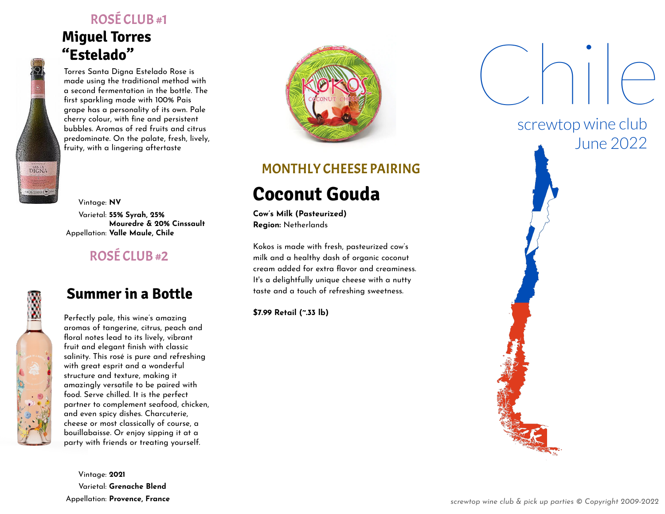#### ROSÉ CLUB #1

# **Miguel Torres "Estelado"**

Torres Santa Digna Estelado Rose is made using the traditional method with a second fermentation in the bottle. The first sparkling made with 100% Pais grape has a personality of its own. Pale cherry colour, with fine and persistent bubbles. Aromas of red fruits and citrus predominate. On the palate, fresh, lively, fruity, with a lingering aftertaste

Vintage: **NV** Varietal: **55% Syrah, 25% Mouredre & 20% Cinssault** Appellation: **Valle Maule, Chile**

## ROSÉ CLUB #2

**DIGNA** 

 $r$ onnes  $\sqrt{m}$ 

#### **Summer in a Bottle**

Perfectly pale, this wine's amazing aromas of tangerine, citrus, peach and floral notes lead to its lively, vibrant fruit and elegant finish with classic salinity. This rosé is pure and refreshing with great esprit and a wonderful structure and texture, making it amazingly versatile to be paired with food. Serve chilled. It is the perfect partner to complement seafood, chicken, and even spicy dishes. Charcuterie, cheese or most classically of course, a bouillabaisse. Or enjoy sipping it at a party with friends or treating yourself.

Vintage: **2021** Varietal: **Grenache Blend** Appellation: **Provence, France**



#### MONTHLY CHEESE PAIRING

# **Coconut Gouda**

**Cow's Milk (Pasteurized) Region:** Netherlands

Kokos is made with fresh, pasteurized cow's milk and a healthy dash of organic coconut cream added for extra flavor and creaminess. It's a delightfully unique cheese with a nutty taste and a touch of refreshing sweetness.

**\$7.99 Retail (~.33 lb)**